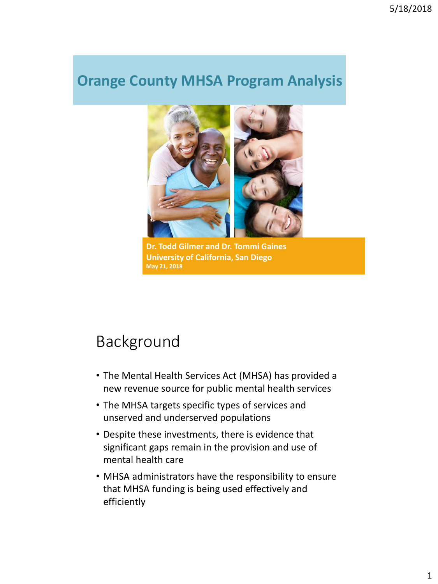### **Orange County MHSA Program Analysis**



**Dr. Todd Gilmer and Dr. Tommi Gaines University of California, San Diego May 21, 2018**

### Background

- The Mental Health Services Act (MHSA) has provided a new revenue source for public mental health services
- The MHSA targets specific types of services and unserved and underserved populations
- Despite these investments, there is evidence that significant gaps remain in the provision and use of mental health care
- MHSA administrators have the responsibility to ensure that MHSA funding is being used effectively and efficiently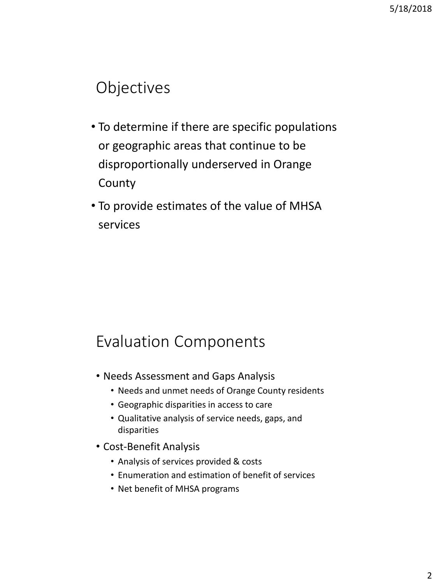### Objectives

- To determine if there are specific populations or geographic areas that continue to be disproportionally underserved in Orange County
- To provide estimates of the value of MHSA services

### Evaluation Components

- Needs Assessment and Gaps Analysis
	- Needs and unmet needs of Orange County residents
	- Geographic disparities in access to care
	- Qualitative analysis of service needs, gaps, and disparities
- Cost-Benefit Analysis
	- Analysis of services provided & costs
	- Enumeration and estimation of benefit of services
	- Net benefit of MHSA programs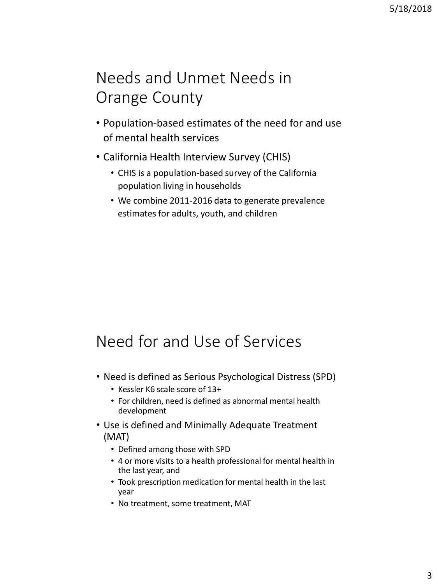# Needs and Unmet Needs in Orange County

- Population-based estimates of the need for and use of mental health services
- California Health Interview Survey (CHIS)
	- CHIS is a population-based survey of the California population living in households
	- We combine 2011-2016 data to generate prevalence estimates for adults, youth, and children

# Need for and Use of Services

- Need is defined as Serious Psychological Distress (SPD)
	- Kessler K6 scale score of 13+
	- For children, need is defined as abnormal mental health development
- Use is defined and Minimally Adequate Treatment (MAT)
	- Defined among those with SPD
	- 4 or more visits to a health professional for mental health in the last year, and
	- Took prescription medication for mental health in the last year
	- No treatment, some treatment, MAT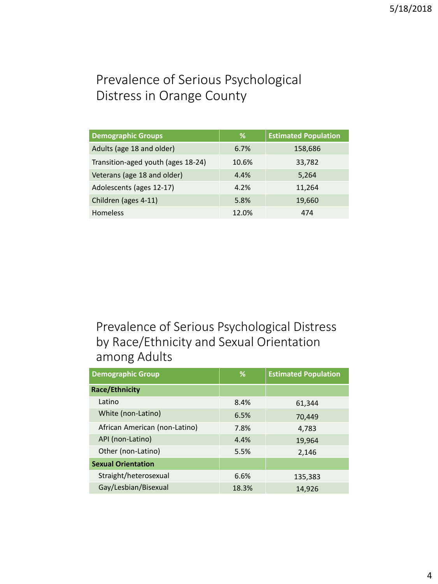### Prevalence of Serious Psychological Distress in Orange County

| <b>Demographic Groups</b>          | %     | <b>Estimated Population</b> |
|------------------------------------|-------|-----------------------------|
| Adults (age 18 and older)          | 6.7%  | 158,686                     |
| Transition-aged youth (ages 18-24) | 10.6% | 33,782                      |
| Veterans (age 18 and older)        | 4.4%  | 5,264                       |
| Adolescents (ages 12-17)           | 4.2%  | 11,264                      |
| Children (ages 4-11)               | 5.8%  | 19,660                      |
| <b>Homeless</b>                    | 12.0% | 474                         |

### Prevalence of Serious Psychological Distress by Race/Ethnicity and Sexual Orientation among Adults

| <b>Demographic Group</b>      | ℅     | <b>Estimated Population</b> |
|-------------------------------|-------|-----------------------------|
| <b>Race/Ethnicity</b>         |       |                             |
| Latino                        | 8.4%  | 61,344                      |
| White (non-Latino)            | 6.5%  | 70,449                      |
| African American (non-Latino) | 7.8%  | 4,783                       |
| API (non-Latino)              | 4.4%  | 19,964                      |
| Other (non-Latino)            | 5.5%  | 2,146                       |
| <b>Sexual Orientation</b>     |       |                             |
| Straight/heterosexual         | 6.6%  | 135,383                     |
| Gay/Lesbian/Bisexual          | 18.3% | 14,926                      |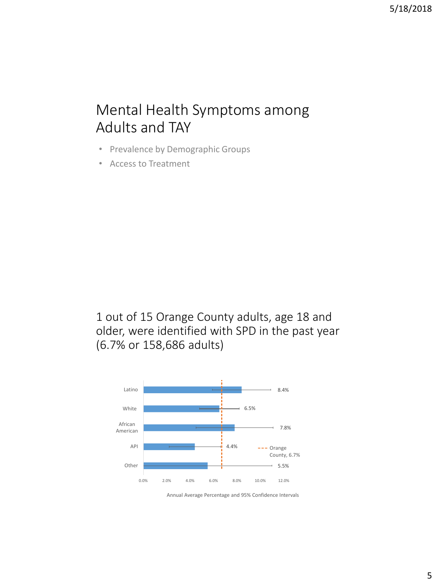### Mental Health Symptoms among Adults and TAY

- Prevalence by Demographic Groups
- Access to Treatment

1 out of 15 Orange County adults, age 18 and older, were identified with SPD in the past year (6.7% or 158,686 adults)



Annual Average Percentage and 95% Confidence Intervals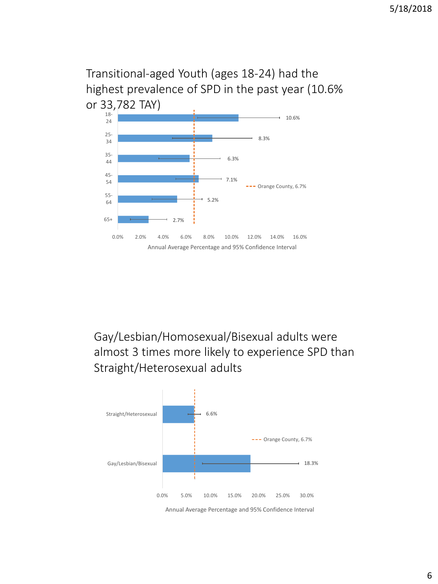### Transitional-aged Youth (ages 18-24) had the highest prevalence of SPD in the past year (10.6% or 33,782 TAY)



Gay/Lesbian/Homosexual/Bisexual adults were almost 3 times more likely to experience SPD than Straight/Heterosexual adults

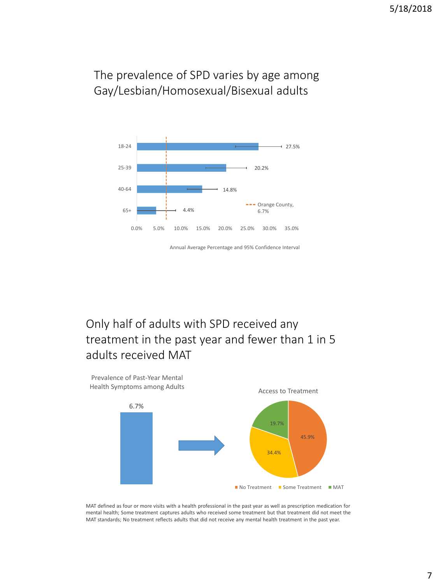#### The prevalence of SPD varies by age among Gay/Lesbian/Homosexual/Bisexual adults



### Only half of adults with SPD received any treatment in the past year and fewer than 1 in 5 adults received MAT



MAT defined as four or more visits with a health professional in the past year as well as prescription medication for mental health; Some treatment captures adults who received some treatment but that treatment did not meet the MAT standards; No treatment reflects adults that did not receive any mental health treatment in the past year.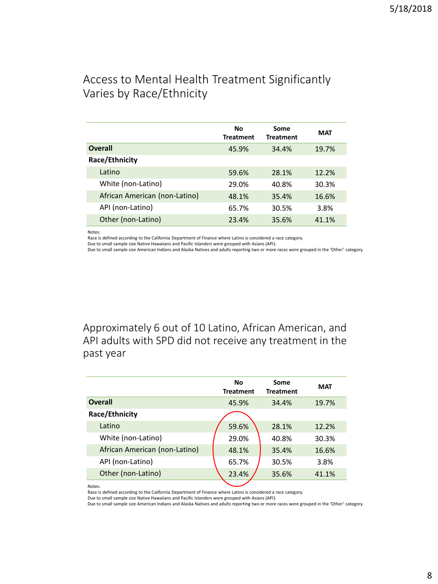#### Access to Mental Health Treatment Significantly Varies by Race/Ethnicity

|                               | No<br><b>Treatment</b> | Some<br><b>Treatment</b> | <b>MAT</b> |
|-------------------------------|------------------------|--------------------------|------------|
| Overall                       | 45.9%                  | 34.4%                    | 19.7%      |
| Race/Ethnicity                |                        |                          |            |
| Latino                        | 59.6%                  | 28.1%                    | 12.2%      |
| White (non-Latino)            | 29.0%                  | 40.8%                    | 30.3%      |
| African American (non-Latino) | 48.1%                  | 35.4%                    | 16.6%      |
| API (non-Latino)              | 65.7%                  | 30.5%                    | 3.8%       |
| Other (non-Latino)            | 23.4%                  | 35.6%                    | 41.1%      |

Notes:

Race is defined according to the California Department of Finance where Latino is considered a race category.

Due to small sample size Native Hawaiians and Pacific Islanders were grouped with Asians (API).

Due to small sample size American Indians and Alaska Natives and adults reporting two or more races were grouped in the 'Other' category.

Approximately 6 out of 10 Latino, African American, and API adults with SPD did not receive any treatment in the past year

|                               | No<br><b>Treatment</b> | Some<br><b>Treatment</b> | <b>MAT</b> |
|-------------------------------|------------------------|--------------------------|------------|
| <b>Overall</b>                | 45.9%                  | 34.4%                    | 19.7%      |
| Race/Ethnicity                |                        |                          |            |
| Latino                        | 59.6%                  | 28.1%                    | 12.2%      |
| White (non-Latino)            | 29.0%                  | 40.8%                    | 30.3%      |
| African American (non-Latino) | 48.1%                  | 35.4%                    | 16.6%      |
| API (non-Latino)              | 65.7%                  | 30.5%                    | 3.8%       |
| Other (non-Latino)            | 23.4%                  | 35.6%                    | 41.1%      |

Notes:

Race is defined according to the California Department of Finance where Latino is considered a race category.

Due to small sample size Native Hawaiians and Pacific Islanders were grouped with Asians (API).

Due to small sample size American Indians and Alaska Natives and adults reporting two or more races were grouped in the 'Other' category.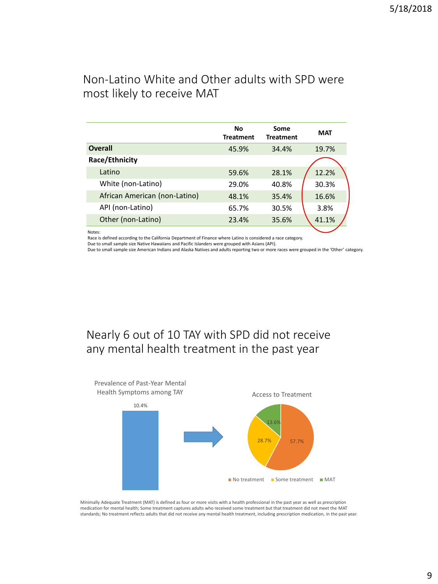#### Non-Latino White and Other adults with SPD were most likely to receive MAT

|                               | Nο<br><b>Treatment</b> | Some<br><b>Treatment</b> | <b>MAT</b> |
|-------------------------------|------------------------|--------------------------|------------|
| <b>Overall</b>                | 45.9%                  | 34.4%                    | 19.7%      |
| Race/Ethnicity                |                        |                          |            |
| Latino                        | 59.6%                  | 28.1%                    | 12.2%      |
| White (non-Latino)            | 29.0%                  | 40.8%                    | 30.3%      |
| African American (non-Latino) | 48.1%                  | 35.4%                    | 16.6%      |
| API (non-Latino)              | 65.7%                  | 30.5%                    | 3.8%       |
| Other (non-Latino)            | 23.4%                  | 35.6%                    | 41.1%      |

Notes:

Race is defined according to the California Department of Finance where Latino is considered a race category.

Due to small sample size Native Hawaiians and Pacific Islanders were grouped with Asians (API).

Due to small sample size American Indians and Alaska Natives and adults reporting two or more races were grouped in the 'Other' category.

#### Nearly 6 out of 10 TAY with SPD did not receive any mental health treatment in the past year



Minimally Adequate Treatment (MAT) is defined as four or more visits with a health professional in the past year as well as prescription medication for mental health; Some treatment captures adults who received some treatment but that treatment did not meet the MAT standards; No treatment reflects adults that did not receive any mental health treatment, including prescription medication, in the past year.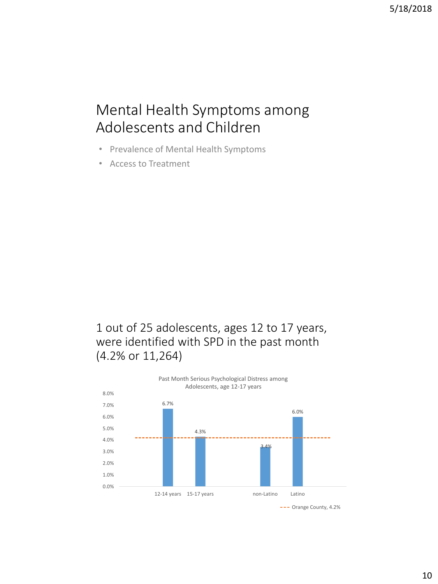### Mental Health Symptoms among Adolescents and Children

- Prevalence of Mental Health Symptoms
- Access to Treatment

1 out of 25 adolescents, ages 12 to 17 years, were identified with SPD in the past month (4.2% or 11,264)

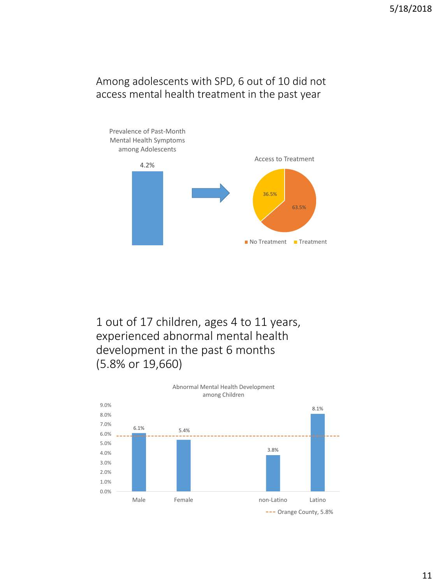#### Among adolescents with SPD, 6 out of 10 did not access mental health treatment in the past year



1 out of 17 children, ages 4 to 11 years, experienced abnormal mental health development in the past 6 months (5.8% or 19,660)

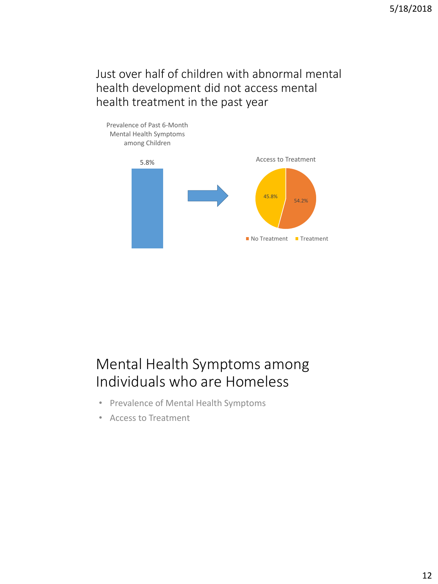Just over half of children with abnormal mental health development did not access mental health treatment in the past year



### Mental Health Symptoms among Individuals who are Homeless

- Prevalence of Mental Health Symptoms
- Access to Treatment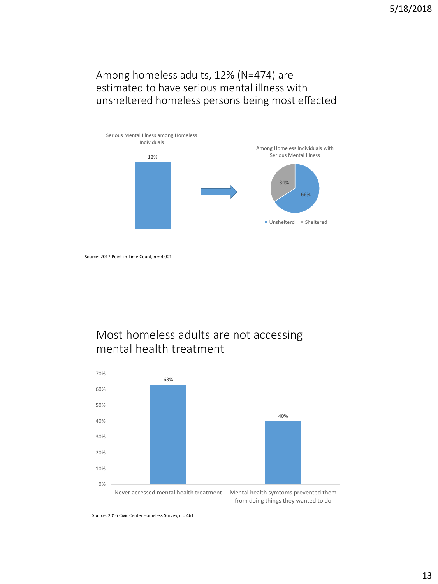#### Among homeless adults, 12% (N=474) are estimated to have serious mental illness with unsheltered homeless persons being most effected



Source: 2017 Point-in-Time Count, n = 4,001

### Most homeless adults are not accessing mental health treatment



Source: 2016 Civic Center Homeless Survey, n = 461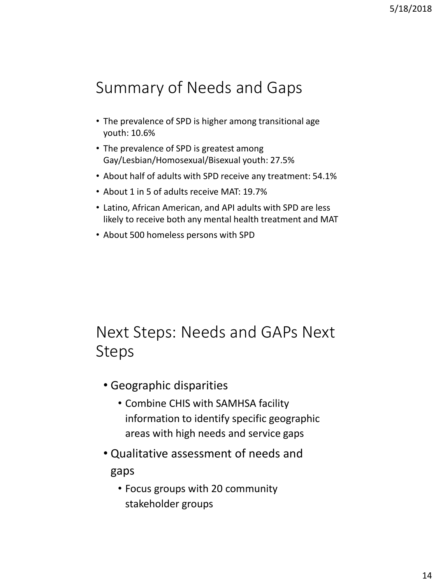# Summary of Needs and Gaps

- The prevalence of SPD is higher among transitional age youth: 10.6%
- The prevalence of SPD is greatest among Gay/Lesbian/Homosexual/Bisexual youth: 27.5%
- About half of adults with SPD receive any treatment: 54.1%
- About 1 in 5 of adults receive MAT: 19.7%
- Latino, African American, and API adults with SPD are less likely to receive both any mental health treatment and MAT
- About 500 homeless persons with SPD

# Next Steps: Needs and GAPs Next Steps

- Geographic disparities
	- Combine CHIS with SAMHSA facility information to identify specific geographic areas with high needs and service gaps
- Qualitative assessment of needs and gaps
	- Focus groups with 20 community stakeholder groups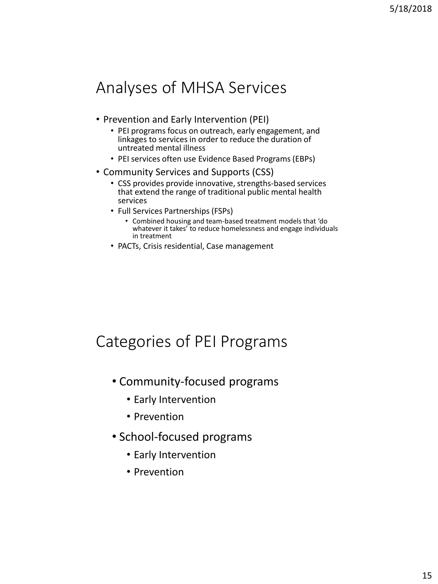# Analyses of MHSA Services

- Prevention and Early Intervention (PEI)
	- PEI programs focus on outreach, early engagement, and linkages to services in order to reduce the duration of untreated mental illness
	- PEI services often use Evidence Based Programs (EBPs)
- Community Services and Supports (CSS)
	- CSS provides provide innovative, strengths-based services that extend the range of traditional public mental health services
	- Full Services Partnerships (FSPs)
		- Combined housing and team-based treatment models that 'do whatever it takes' to reduce homelessness and engage individuals in treatment
	- PACTs, Crisis residential, Case management

### Categories of PEI Programs

- Community-focused programs
	- Early Intervention
	- Prevention
- School-focused programs
	- Early Intervention
	- Prevention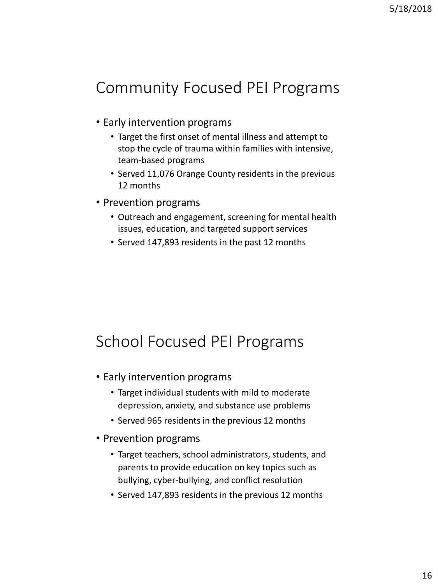# Community Focused PEI Programs

- Early intervention programs
	- Target the first onset of mental illness and attempt to stop the cycle of trauma within families with intensive, team-based programs
	- Served 11,076 Orange County residents in the previous 12 months
- Prevention programs
	- Outreach and engagement, screening for mental health issues, education, and targeted support services
	- Served 147,893 residents in the past 12 months

# School Focused PEI Programs

- Early intervention programs
	- Target individual students with mild to moderate depression, anxiety, and substance use problems
	- Served 965 residents in the previous 12 months
- Prevention programs
	- Target teachers, school administrators, students, and parents to provide education on key topics such as bullying, cyber-bullying, and conflict resolution
	- Served 147,893 residents in the previous 12 months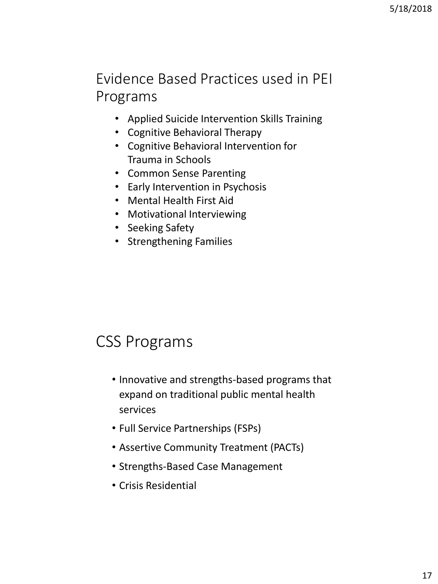### Evidence Based Practices used in PEI Programs

- Applied Suicide Intervention Skills Training
- Cognitive Behavioral Therapy
- Cognitive Behavioral Intervention for Trauma in Schools
- Common Sense Parenting
- Early Intervention in Psychosis
- Mental Health First Aid
- Motivational Interviewing
- Seeking Safety
- Strengthening Families

### CSS Programs

- Innovative and strengths-based programs that expand on traditional public mental health services
- Full Service Partnerships (FSPs)
- Assertive Community Treatment (PACTs)
- Strengths-Based Case Management
- Crisis Residential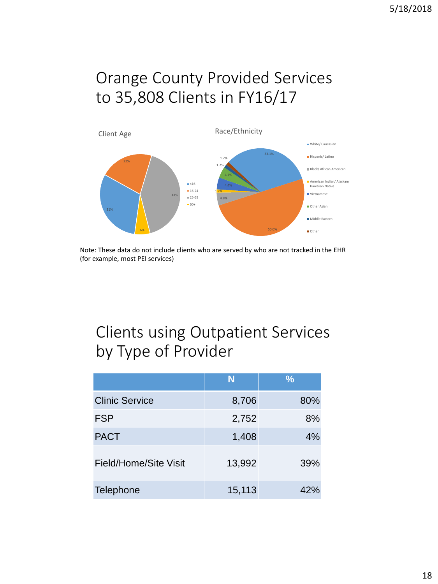# Orange County Provided Services to 35,808 Clients in FY16/17



Note: These data do not include clients who are served by who are not tracked in the EHR (for example, most PEI services)

# Clients using Outpatient Services by Type of Provider

|                       | N      | $\frac{9}{6}$ |
|-----------------------|--------|---------------|
| <b>Clinic Service</b> | 8,706  | 80%           |
| <b>FSP</b>            | 2,752  | 8%            |
| <b>PACT</b>           | 1,408  | 4%            |
| Field/Home/Site Visit | 13,992 | 39%           |
| <b>Telephone</b>      | 15,113 | 42%           |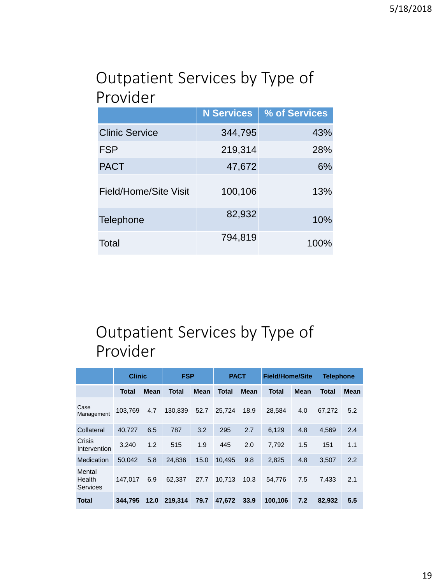### Outpatient Services by Type of Provider

|                       | <b>N</b> Services | % of Services |
|-----------------------|-------------------|---------------|
| <b>Clinic Service</b> | 344,795           | 43%           |
| <b>FSP</b>            | 219,314           | 28%           |
| <b>PACT</b>           | 47,672            | 6%            |
| Field/Home/Site Visit | 100,106           | 13%           |
| Telephone             | 82,932            | 10%           |
| Total                 | 794,819           | 100%          |

# Outpatient Services by Type of Provider

|                                     | <b>Clinic</b> |      | <b>FSP</b>   |      | <b>PACT</b>  |             | <b>Field/Home/Site</b> |      | <b>Telephone</b> |      |
|-------------------------------------|---------------|------|--------------|------|--------------|-------------|------------------------|------|------------------|------|
|                                     | Total         | Mean | <b>Total</b> | Mean | <b>Total</b> | <b>Mean</b> | Total                  | Mean | Total            | Mean |
| Case<br>Management                  | 103,769       | 4.7  | 130,839      | 52.7 | 25.724       | 18.9        | 28,584                 | 4.0  | 67.272           | 5.2  |
| Collateral                          | 40.727        | 6.5  | 787          | 3.2  | 295          | 2.7         | 6,129                  | 4.8  | 4,569            | 2.4  |
| Crisis<br>Intervention              | 3.240         | 1.2  | 515          | 1.9  | 445          | 2.0         | 7.792                  | 1.5  | 151              | 1.1  |
| Medication                          | 50,042        | 5.8  | 24,836       | 15.0 | 10,495       | 9.8         | 2,825                  | 4.8  | 3,507            | 2.2  |
| Mental<br>Health<br><b>Services</b> | 147.017       | 6.9  | 62.337       | 27.7 | 10.713       | 10.3        | 54,776                 | 7.5  | 7.433            | 2.1  |
| <b>Total</b>                        | 344.795       | 12.0 | 219,314      | 79.7 | 47,672       | 33.9        | 100,106                | 7.2  | 82,932           | 5.5  |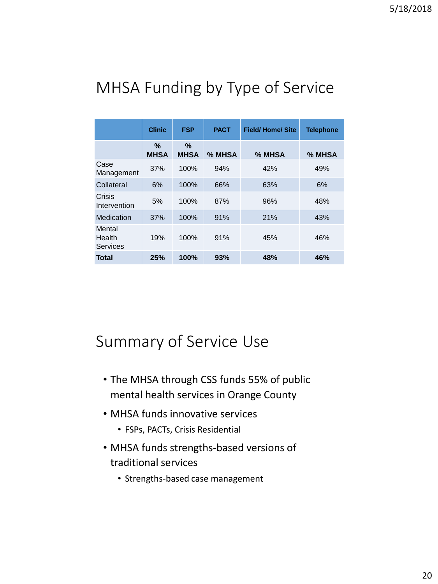# MHSA Funding by Type of Service

|                              | <b>Clinic</b>    | <b>FSP</b>       | <b>PACT</b> | <b>Field/Home/Site</b> | <b>Telephone</b> |
|------------------------------|------------------|------------------|-------------|------------------------|------------------|
|                              | %<br><b>MHSA</b> | %<br><b>MHSA</b> | % MHSA      | % MHSA                 | % MHSA           |
| Case<br>Management           | 37%              | 100%             | 94%         | 42%                    | 49%              |
| Collateral                   | 6%               | 100%             | 66%         | 63%                    | 6%               |
| Crisis<br>Intervention       | 5%               | 100%             | 87%         | 96%                    | 48%              |
| Medication                   | 37%              | 100%             | 91%         | 21%                    | 43%              |
| Mental<br>Health<br>Services | 19%              | 100%             | 91%         | 45%                    | 46%              |
| Total                        | 25%              | 100%             | 93%         | 48%                    | 46%              |

### Summary of Service Use

- The MHSA through CSS funds 55% of public mental health services in Orange County
- MHSA funds innovative services
	- FSPs, PACTs, Crisis Residential
- MHSA funds strengths-based versions of traditional services
	- Strengths-based case management